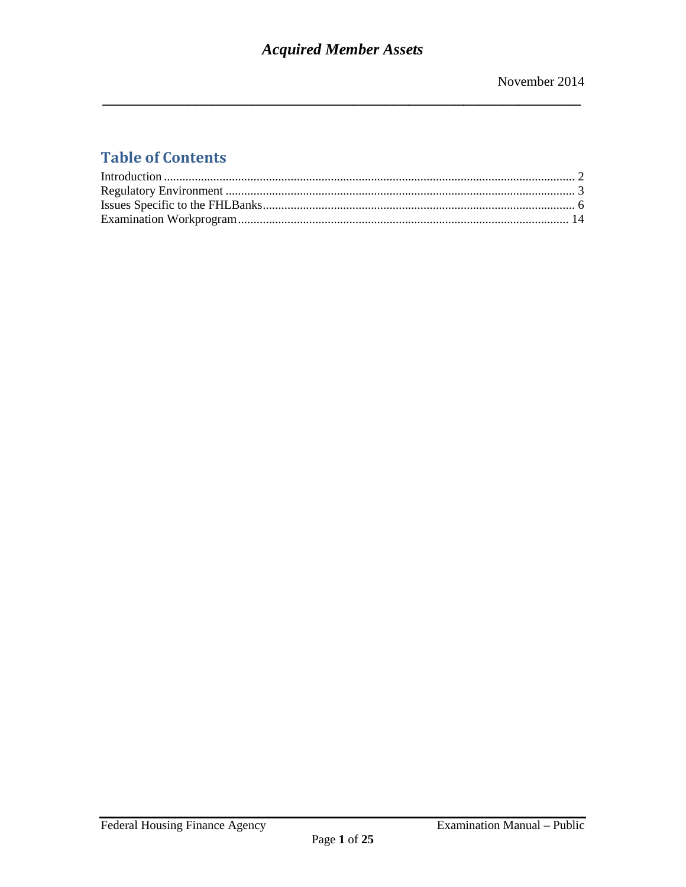# **Table of Contents**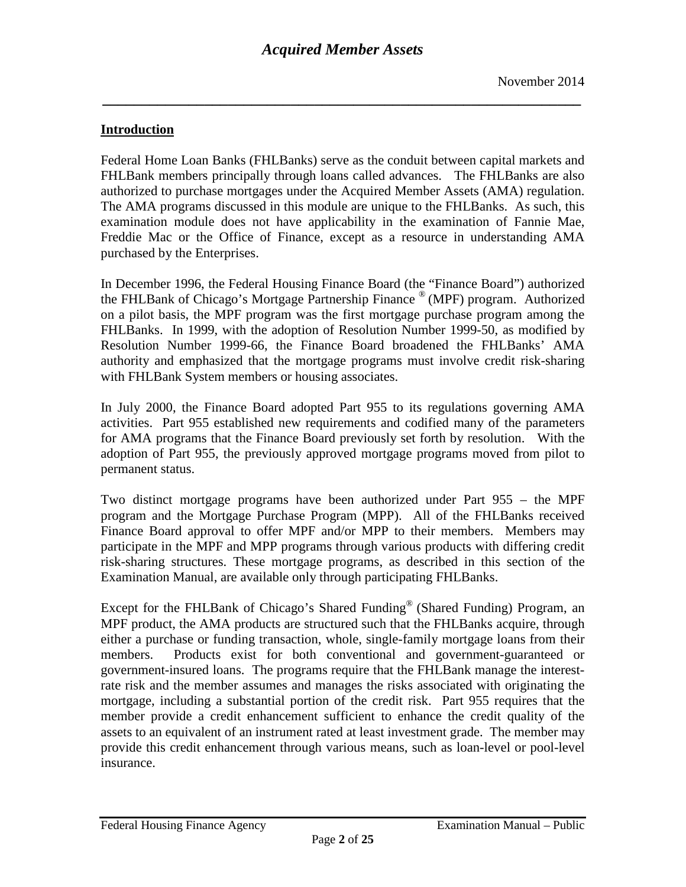*\_\_\_\_\_\_\_\_\_\_\_\_\_\_\_\_\_\_\_\_\_\_\_\_\_\_\_\_\_\_\_\_\_\_\_\_\_\_\_\_\_\_\_\_\_\_\_\_\_\_\_\_\_\_\_\_\_\_\_\_\_*

### <span id="page-1-0"></span>**Introduction**

Federal Home Loan Banks (FHLBanks) serve as the conduit between capital markets and FHLBank members principally through loans called advances. The FHLBanks are also authorized to purchase mortgages under the Acquired Member Assets (AMA) regulation. The AMA programs discussed in this module are unique to the FHLBanks. As such, this examination module does not have applicability in the examination of Fannie Mae, Freddie Mac or the Office of Finance, except as a resource in understanding AMA purchased by the Enterprises.

In December 1996, the Federal Housing Finance Board (the "Finance Board") authorized the FHLBank of Chicago's Mortgage Partnership Finance ® (MPF) program. Authorized on a pilot basis, the MPF program was the first mortgage purchase program among the FHLBanks. In 1999, with the adoption of Resolution Number 1999-50, as modified by Resolution Number 1999-66, the Finance Board broadened the FHLBanks' AMA authority and emphasized that the mortgage programs must involve credit risk-sharing with FHLBank System members or housing associates.

In July 2000, the Finance Board adopted Part 955 to its regulations governing AMA activities. Part 955 established new requirements and codified many of the parameters for AMA programs that the Finance Board previously set forth by resolution. With the adoption of Part 955, the previously approved mortgage programs moved from pilot to permanent status.

Two distinct mortgage programs have been authorized under Part 955 – the MPF program and the Mortgage Purchase Program (MPP). All of the FHLBanks received Finance Board approval to offer MPF and/or MPP to their members. Members may participate in the MPF and MPP programs through various products with differing credit risk-sharing structures. These mortgage programs, as described in this section of the Examination Manual, are available only through participating FHLBanks.

Except for the FHLBank of Chicago's Shared Funding® (Shared Funding) Program, an MPF product, the AMA products are structured such that the FHLBanks acquire, through either a purchase or funding transaction, whole, single-family mortgage loans from their members. Products exist for both conventional and government-guaranteed or government-insured loans. The programs require that the FHLBank manage the interestrate risk and the member assumes and manages the risks associated with originating the mortgage, including a substantial portion of the credit risk. Part 955 requires that the member provide a credit enhancement sufficient to enhance the credit quality of the assets to an equivalent of an instrument rated at least investment grade. The member may provide this credit enhancement through various means, such as loan-level or pool-level insurance.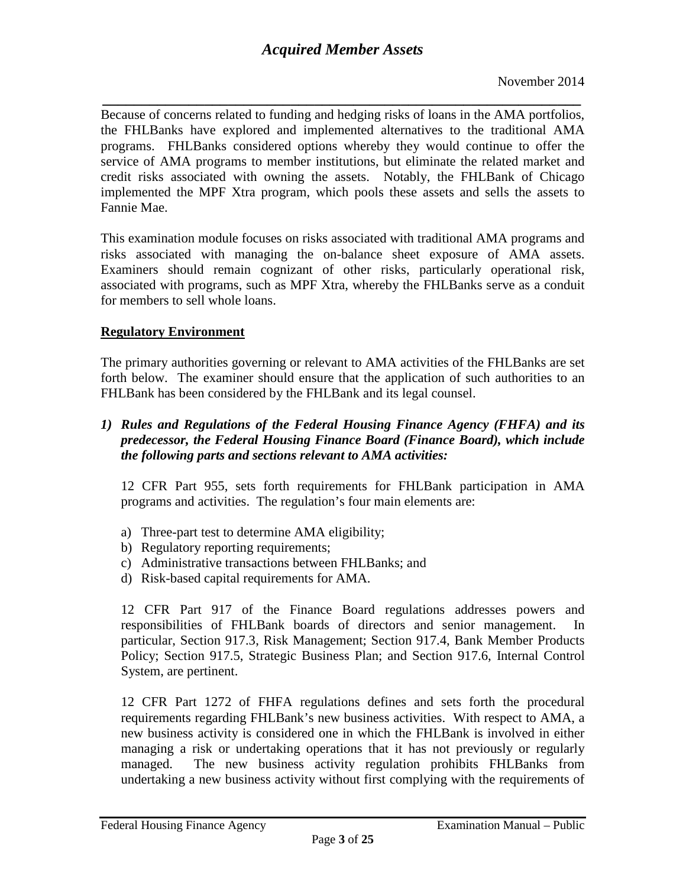*\_\_\_\_\_\_\_\_\_\_\_\_\_\_\_\_\_\_\_\_\_\_\_\_\_\_\_\_\_\_\_\_\_\_\_\_\_\_\_\_\_\_\_\_\_\_\_\_\_\_\_\_\_\_\_\_\_\_\_\_\_* Because of concerns related to funding and hedging risks of loans in the AMA portfolios, the FHLBanks have explored and implemented alternatives to the traditional AMA programs. FHLBanks considered options whereby they would continue to offer the service of AMA programs to member institutions, but eliminate the related market and credit risks associated with owning the assets. Notably, the FHLBank of Chicago implemented the MPF Xtra program, which pools these assets and sells the assets to Fannie Mae.

This examination module focuses on risks associated with traditional AMA programs and risks associated with managing the on-balance sheet exposure of AMA assets. Examiners should remain cognizant of other risks, particularly operational risk, associated with programs, such as MPF Xtra, whereby the FHLBanks serve as a conduit for members to sell whole loans.

## <span id="page-2-0"></span>**Regulatory Environment**

The primary authorities governing or relevant to AMA activities of the FHLBanks are set forth below. The examiner should ensure that the application of such authorities to an FHLBank has been considered by the FHLBank and its legal counsel.

*1) Rules and Regulations of the Federal Housing Finance Agency (FHFA) and its predecessor, the Federal Housing Finance Board (Finance Board), which include the following parts and sections relevant to AMA activities:* 

12 CFR Part 955, sets forth requirements for FHLBank participation in AMA programs and activities. The regulation's four main elements are:

- a) Three-part test to determine AMA eligibility;
- b) Regulatory reporting requirements;
- c) Administrative transactions between FHLBanks; and
- d) Risk-based capital requirements for AMA.

12 CFR Part 917 of the Finance Board regulations addresses powers and responsibilities of FHLBank boards of directors and senior management. In particular, Section 917.3, Risk Management; Section 917.4, Bank Member Products Policy; Section 917.5, Strategic Business Plan; and Section 917.6, Internal Control System, are pertinent.

12 CFR Part 1272 of FHFA regulations defines and sets forth the procedural requirements regarding FHLBank's new business activities. With respect to AMA, a new business activity is considered one in which the FHLBank is involved in either managing a risk or undertaking operations that it has not previously or regularly managed. The new business activity regulation prohibits FHLBanks from undertaking a new business activity without first complying with the requirements of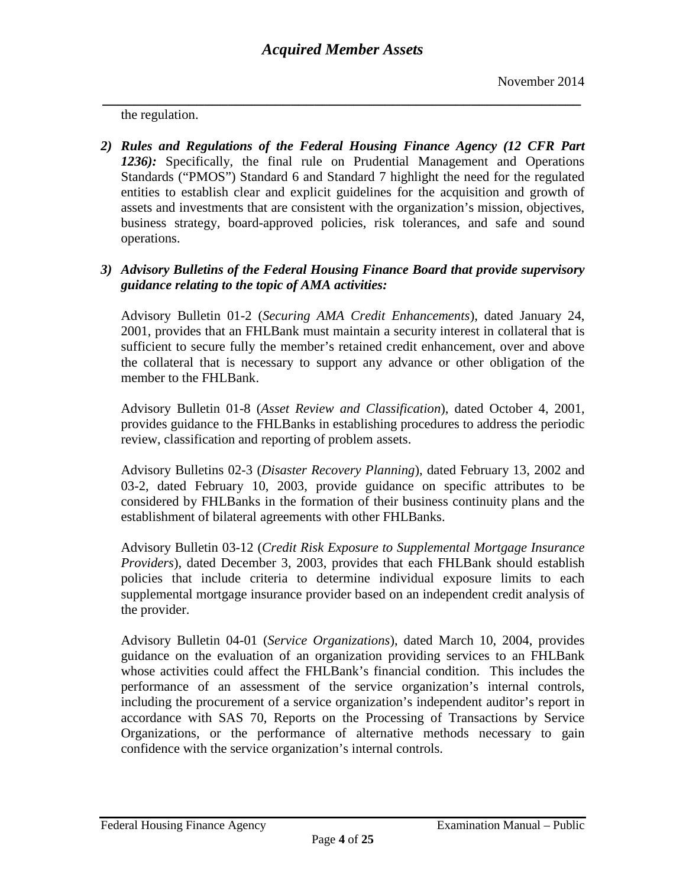*\_\_\_\_\_\_\_\_\_\_\_\_\_\_\_\_\_\_\_\_\_\_\_\_\_\_\_\_\_\_\_\_\_\_\_\_\_\_\_\_\_\_\_\_\_\_\_\_\_\_\_\_\_\_\_\_\_\_\_\_\_* the regulation.

*2) Rules and Regulations of the Federal Housing Finance Agency (12 CFR Part 1236):* Specifically, the final rule on Prudential Management and Operations Standards ("PMOS") Standard 6 and Standard 7 highlight the need for the regulated entities to establish clear and explicit guidelines for the acquisition and growth of assets and investments that are consistent with the organization's mission, objectives, business strategy, board-approved policies, risk tolerances, and safe and sound operations.

### *3) Advisory Bulletins of the Federal Housing Finance Board that provide supervisory guidance relating to the topic of AMA activities:*

Advisory Bulletin 01-2 (*Securing AMA Credit Enhancements*), dated January 24, 2001, provides that an FHLBank must maintain a security interest in collateral that is sufficient to secure fully the member's retained credit enhancement, over and above the collateral that is necessary to support any advance or other obligation of the member to the FHL Bank.

Advisory Bulletin 01-8 (*Asset Review and Classification*), dated October 4, 2001, provides guidance to the FHLBanks in establishing procedures to address the periodic review, classification and reporting of problem assets.

Advisory Bulletins 02-3 (*Disaster Recovery Planning*), dated February 13, 2002 and 03-2, dated February 10, 2003, provide guidance on specific attributes to be considered by FHLBanks in the formation of their business continuity plans and the establishment of bilateral agreements with other FHLBanks.

Advisory Bulletin 03-12 (*Credit Risk Exposure to Supplemental Mortgage Insurance Providers*), dated December 3, 2003, provides that each FHLBank should establish policies that include criteria to determine individual exposure limits to each supplemental mortgage insurance provider based on an independent credit analysis of the provider.

Advisory Bulletin 04-01 (*Service Organizations*), dated March 10, 2004, provides guidance on the evaluation of an organization providing services to an FHLBank whose activities could affect the FHLBank's financial condition. This includes the performance of an assessment of the service organization's internal controls, including the procurement of a service organization's independent auditor's report in accordance with SAS 70, Reports on the Processing of Transactions by Service Organizations, or the performance of alternative methods necessary to gain confidence with the service organization's internal controls.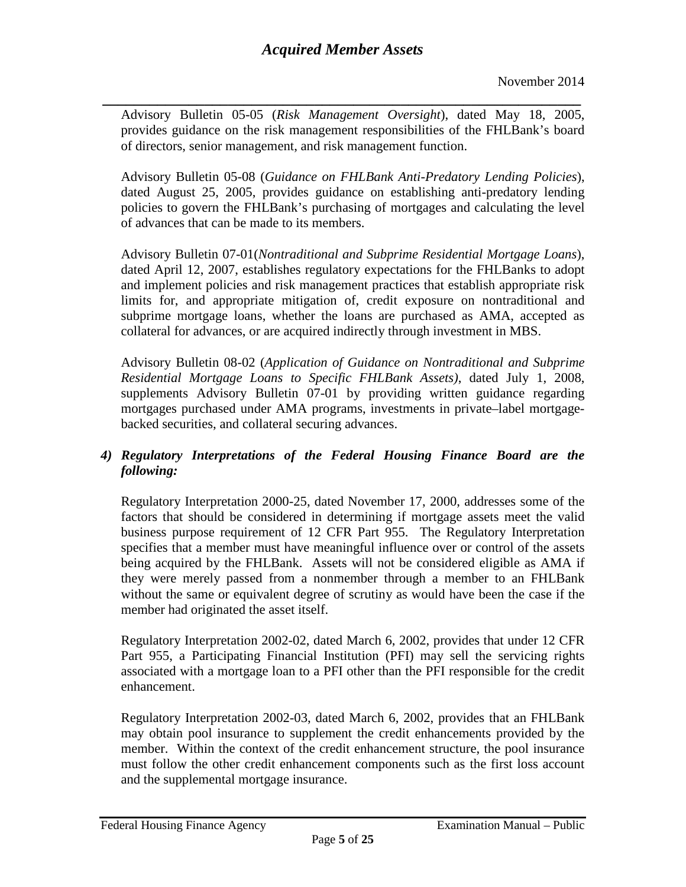*\_\_\_\_\_\_\_\_\_\_\_\_\_\_\_\_\_\_\_\_\_\_\_\_\_\_\_\_\_\_\_\_\_\_\_\_\_\_\_\_\_\_\_\_\_\_\_\_\_\_\_\_\_\_\_\_\_\_\_\_\_* Advisory Bulletin 05-05 (*Risk Management Oversight*), dated May 18, 2005, provides guidance on the risk management responsibilities of the FHLBank's board of directors, senior management, and risk management function.

Advisory Bulletin 05-08 (*Guidance on FHLBank Anti-Predatory Lending Policies*), dated August 25, 2005, provides guidance on establishing anti-predatory lending policies to govern the FHLBank's purchasing of mortgages and calculating the level of advances that can be made to its members.

Advisory Bulletin 07-01(*Nontraditional and Subprime Residential Mortgage Loans*), dated April 12, 2007, establishes regulatory expectations for the FHLBanks to adopt and implement policies and risk management practices that establish appropriate risk limits for, and appropriate mitigation of, credit exposure on nontraditional and subprime mortgage loans, whether the loans are purchased as AMA, accepted as collateral for advances, or are acquired indirectly through investment in MBS.

Advisory Bulletin 08-02 (*Application of Guidance on Nontraditional and Subprime Residential Mortgage Loans to Specific FHLBank Assets)*, dated July 1, 2008, supplements Advisory Bulletin 07-01 by providing written guidance regarding mortgages purchased under AMA programs, investments in private–label mortgagebacked securities, and collateral securing advances.

### *4) Regulatory Interpretations of the Federal Housing Finance Board are the following:*

Regulatory Interpretation 2000-25, dated November 17, 2000, addresses some of the factors that should be considered in determining if mortgage assets meet the valid business purpose requirement of 12 CFR Part 955. The Regulatory Interpretation specifies that a member must have meaningful influence over or control of the assets being acquired by the FHLBank. Assets will not be considered eligible as AMA if they were merely passed from a nonmember through a member to an FHLBank without the same or equivalent degree of scrutiny as would have been the case if the member had originated the asset itself.

Regulatory Interpretation 2002-02, dated March 6, 2002, provides that under 12 CFR Part 955, a Participating Financial Institution (PFI) may sell the servicing rights associated with a mortgage loan to a PFI other than the PFI responsible for the credit enhancement.

Regulatory Interpretation 2002-03, dated March 6, 2002, provides that an FHLBank may obtain pool insurance to supplement the credit enhancements provided by the member. Within the context of the credit enhancement structure, the pool insurance must follow the other credit enhancement components such as the first loss account and the supplemental mortgage insurance.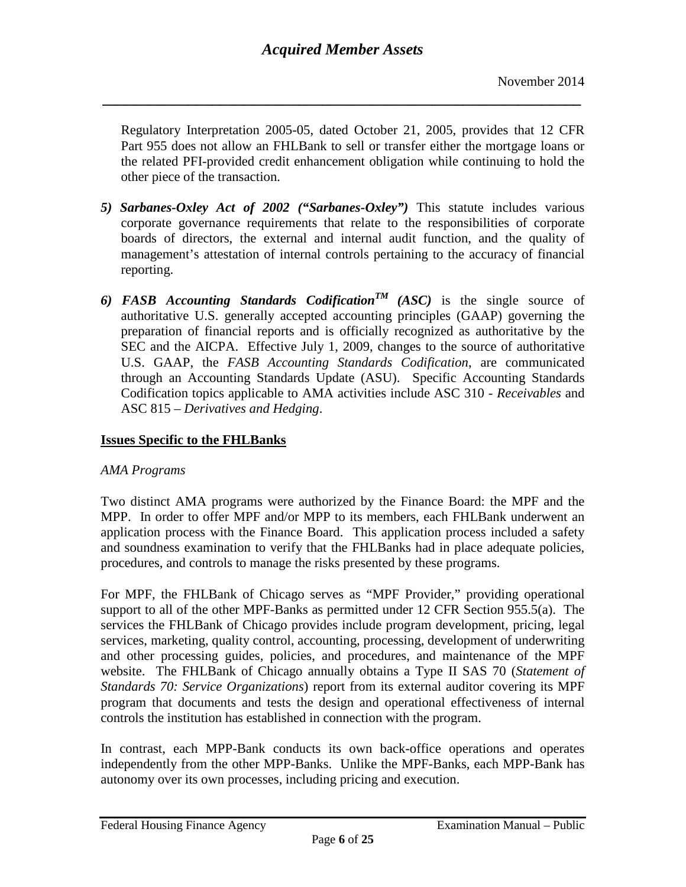*\_\_\_\_\_\_\_\_\_\_\_\_\_\_\_\_\_\_\_\_\_\_\_\_\_\_\_\_\_\_\_\_\_\_\_\_\_\_\_\_\_\_\_\_\_\_\_\_\_\_\_\_\_\_\_\_\_\_\_\_\_*

Regulatory Interpretation 2005-05, dated October 21, 2005, provides that 12 CFR Part 955 does not allow an FHLBank to sell or transfer either the mortgage loans or the related PFI-provided credit enhancement obligation while continuing to hold the other piece of the transaction.

- *5) Sarbanes-Oxley Act of 2002 ("Sarbanes-Oxley")* This statute includes various corporate governance requirements that relate to the responsibilities of corporate boards of directors, the external and internal audit function, and the quality of management's attestation of internal controls pertaining to the accuracy of financial reporting.
- 6) FASB Accounting Standards Codification<sup>TM</sup> (ASC) is the single source of authoritative U.S. generally accepted accounting principles (GAAP) governing the preparation of financial reports and is officially recognized as authoritative by the SEC and the AICPA. Effective July 1, 2009, changes to the source of authoritative U.S. GAAP, the *FASB Accounting Standards Codification*, are communicated through an Accounting Standards Update (ASU). Specific Accounting Standards Codification topics applicable to AMA activities include ASC 310 - *Receivables* and ASC 815 – *Derivatives and Hedging*.

# <span id="page-5-0"></span>**Issues Specific to the FHLBanks**

#### *AMA Programs*

Two distinct AMA programs were authorized by the Finance Board: the MPF and the MPP. In order to offer MPF and/or MPP to its members, each FHLBank underwent an application process with the Finance Board. This application process included a safety and soundness examination to verify that the FHLBanks had in place adequate policies, procedures, and controls to manage the risks presented by these programs.

For MPF, the FHLBank of Chicago serves as "MPF Provider," providing operational support to all of the other MPF-Banks as permitted under 12 CFR Section 955.5(a). The services the FHLBank of Chicago provides include program development, pricing, legal services, marketing, quality control, accounting, processing, development of underwriting and other processing guides, policies, and procedures, and maintenance of the MPF website. The FHLBank of Chicago annually obtains a Type II SAS 70 (*Statement of Standards 70: Service Organizations*) report from its external auditor covering its MPF program that documents and tests the design and operational effectiveness of internal controls the institution has established in connection with the program.

In contrast, each MPP-Bank conducts its own back-office operations and operates independently from the other MPP-Banks. Unlike the MPF-Banks, each MPP-Bank has autonomy over its own processes, including pricing and execution.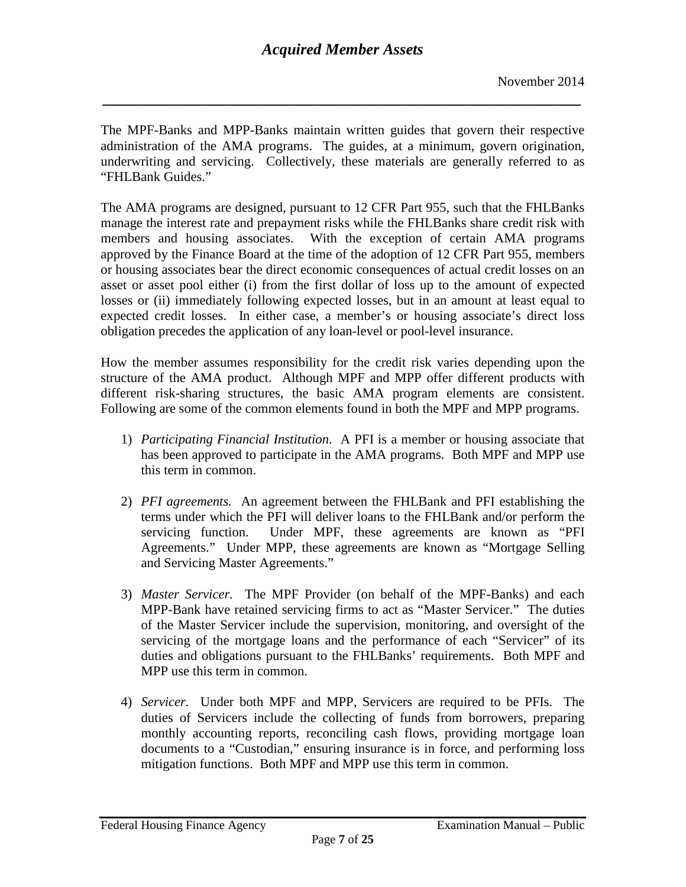*\_\_\_\_\_\_\_\_\_\_\_\_\_\_\_\_\_\_\_\_\_\_\_\_\_\_\_\_\_\_\_\_\_\_\_\_\_\_\_\_\_\_\_\_\_\_\_\_\_\_\_\_\_\_\_\_\_\_\_\_\_*

The MPF-Banks and MPP-Banks maintain written guides that govern their respective administration of the AMA programs. The guides, at a minimum, govern origination, underwriting and servicing. Collectively, these materials are generally referred to as "FHLBank Guides."

The AMA programs are designed, pursuant to 12 CFR Part 955, such that the FHLBanks manage the interest rate and prepayment risks while the FHLBanks share credit risk with members and housing associates. With the exception of certain AMA programs approved by the Finance Board at the time of the adoption of 12 CFR Part 955, members or housing associates bear the direct economic consequences of actual credit losses on an asset or asset pool either (i) from the first dollar of loss up to the amount of expected losses or (ii) immediately following expected losses, but in an amount at least equal to expected credit losses. In either case, a member's or housing associate's direct loss obligation precedes the application of any loan-level or pool-level insurance.

How the member assumes responsibility for the credit risk varies depending upon the structure of the AMA product. Although MPF and MPP offer different products with different risk-sharing structures, the basic AMA program elements are consistent. Following are some of the common elements found in both the MPF and MPP programs.

- 1) *Participating Financial Institution*. A PFI is a member or housing associate that has been approved to participate in the AMA programs. Both MPF and MPP use this term in common.
- 2) *PFI agreements.* An agreement between the FHLBank and PFI establishing the terms under which the PFI will deliver loans to the FHLBank and/or perform the servicing function. Under MPF, these agreements are known as "PFI Agreements." Under MPP, these agreements are known as "Mortgage Selling and Servicing Master Agreements."
- 3) *Master Servicer.* The MPF Provider (on behalf of the MPF-Banks) and each MPP-Bank have retained servicing firms to act as "Master Servicer." The duties of the Master Servicer include the supervision, monitoring, and oversight of the servicing of the mortgage loans and the performance of each "Servicer" of its duties and obligations pursuant to the FHLBanks' requirements. Both MPF and MPP use this term in common.
- 4) *Servicer.* Under both MPF and MPP, Servicers are required to be PFIs. The duties of Servicers include the collecting of funds from borrowers, preparing monthly accounting reports, reconciling cash flows, providing mortgage loan documents to a "Custodian," ensuring insurance is in force, and performing loss mitigation functions. Both MPF and MPP use this term in common.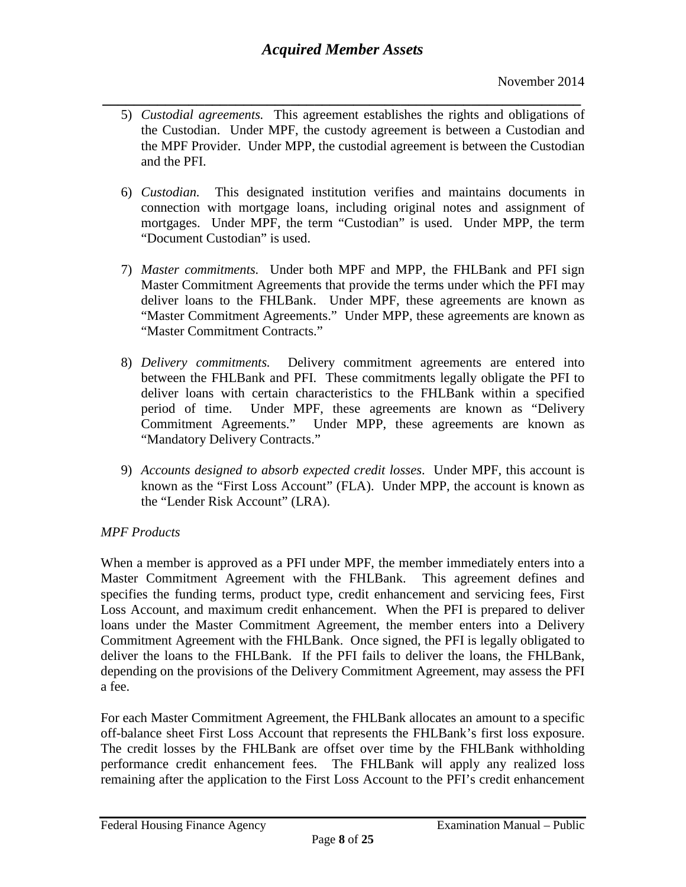- *\_\_\_\_\_\_\_\_\_\_\_\_\_\_\_\_\_\_\_\_\_\_\_\_\_\_\_\_\_\_\_\_\_\_\_\_\_\_\_\_\_\_\_\_\_\_\_\_\_\_\_\_\_\_\_\_\_\_\_\_\_* 5) *Custodial agreements.* This agreement establishes the rights and obligations of the Custodian. Under MPF, the custody agreement is between a Custodian and the MPF Provider. Under MPP, the custodial agreement is between the Custodian and the PFI.
	- 6) *Custodian.* This designated institution verifies and maintains documents in connection with mortgage loans, including original notes and assignment of mortgages. Under MPF, the term "Custodian" is used. Under MPP, the term "Document Custodian" is used.
	- 7) *Master commitments.* Under both MPF and MPP, the FHLBank and PFI sign Master Commitment Agreements that provide the terms under which the PFI may deliver loans to the FHLBank. Under MPF, these agreements are known as "Master Commitment Agreements." Under MPP, these agreements are known as "Master Commitment Contracts."
	- 8) *Delivery commitments.* Delivery commitment agreements are entered into between the FHLBank and PFI. These commitments legally obligate the PFI to deliver loans with certain characteristics to the FHLBank within a specified period of time. Under MPF, these agreements are known as "Delivery Commitment Agreements." Under MPP, these agreements are known as "Mandatory Delivery Contracts."
	- 9) *Accounts designed to absorb expected credit losses*. Under MPF, this account is known as the "First Loss Account" (FLA). Under MPP, the account is known as the "Lender Risk Account" (LRA).

### *MPF Products*

When a member is approved as a PFI under MPF, the member immediately enters into a Master Commitment Agreement with the FHLBank. This agreement defines and specifies the funding terms, product type, credit enhancement and servicing fees, First Loss Account, and maximum credit enhancement. When the PFI is prepared to deliver loans under the Master Commitment Agreement, the member enters into a Delivery Commitment Agreement with the FHLBank. Once signed, the PFI is legally obligated to deliver the loans to the FHLBank. If the PFI fails to deliver the loans, the FHLBank, depending on the provisions of the Delivery Commitment Agreement, may assess the PFI a fee.

For each Master Commitment Agreement, the FHLBank allocates an amount to a specific off-balance sheet First Loss Account that represents the FHLBank's first loss exposure. The credit losses by the FHLBank are offset over time by the FHLBank withholding performance credit enhancement fees. The FHLBank will apply any realized loss remaining after the application to the First Loss Account to the PFI's credit enhancement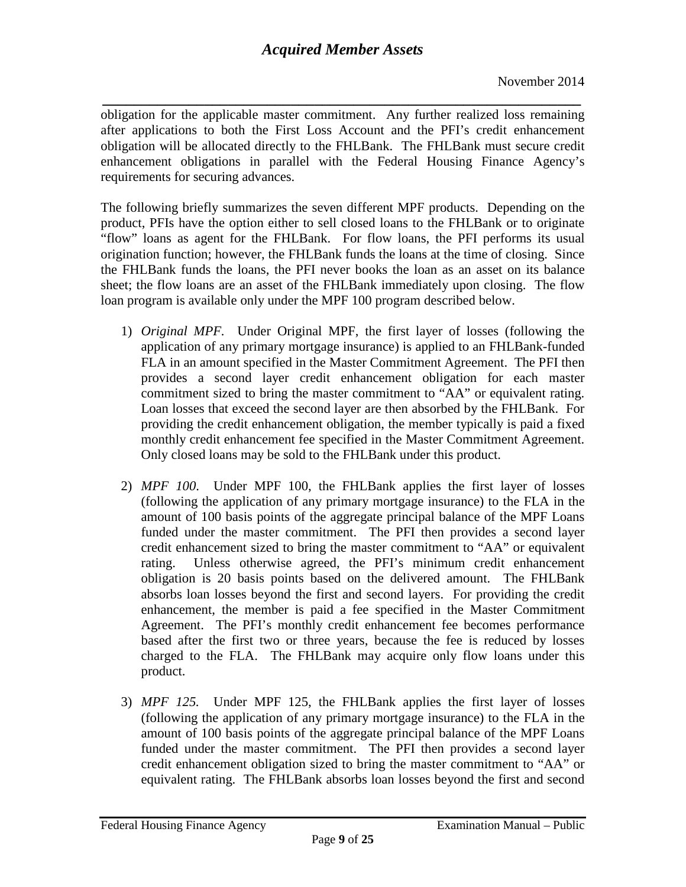*\_\_\_\_\_\_\_\_\_\_\_\_\_\_\_\_\_\_\_\_\_\_\_\_\_\_\_\_\_\_\_\_\_\_\_\_\_\_\_\_\_\_\_\_\_\_\_\_\_\_\_\_\_\_\_\_\_\_\_\_\_* obligation for the applicable master commitment. Any further realized loss remaining after applications to both the First Loss Account and the PFI's credit enhancement obligation will be allocated directly to the FHLBank. The FHLBank must secure credit enhancement obligations in parallel with the Federal Housing Finance Agency's requirements for securing advances.

The following briefly summarizes the seven different MPF products. Depending on the product, PFIs have the option either to sell closed loans to the FHLBank or to originate "flow" loans as agent for the FHLBank. For flow loans, the PFI performs its usual origination function; however, the FHLBank funds the loans at the time of closing. Since the FHLBank funds the loans, the PFI never books the loan as an asset on its balance sheet; the flow loans are an asset of the FHLBank immediately upon closing. The flow loan program is available only under the MPF 100 program described below.

- 1) *Original MPF.* Under Original MPF, the first layer of losses (following the application of any primary mortgage insurance) is applied to an FHLBank-funded FLA in an amount specified in the Master Commitment Agreement. The PFI then provides a second layer credit enhancement obligation for each master commitment sized to bring the master commitment to "AA" or equivalent rating. Loan losses that exceed the second layer are then absorbed by the FHLBank. For providing the credit enhancement obligation, the member typically is paid a fixed monthly credit enhancement fee specified in the Master Commitment Agreement. Only closed loans may be sold to the FHLBank under this product.
- 2) *MPF 100*. Under MPF 100, the FHLBank applies the first layer of losses (following the application of any primary mortgage insurance) to the FLA in the amount of 100 basis points of the aggregate principal balance of the MPF Loans funded under the master commitment. The PFI then provides a second layer credit enhancement sized to bring the master commitment to "AA" or equivalent rating. Unless otherwise agreed, the PFI's minimum credit enhancement obligation is 20 basis points based on the delivered amount. The FHLBank absorbs loan losses beyond the first and second layers. For providing the credit enhancement, the member is paid a fee specified in the Master Commitment Agreement. The PFI's monthly credit enhancement fee becomes performance based after the first two or three years, because the fee is reduced by losses charged to the FLA. The FHLBank may acquire only flow loans under this product.
- 3) *MPF 125.* Under MPF 125, the FHLBank applies the first layer of losses (following the application of any primary mortgage insurance) to the FLA in the amount of 100 basis points of the aggregate principal balance of the MPF Loans funded under the master commitment. The PFI then provides a second layer credit enhancement obligation sized to bring the master commitment to "AA" or equivalent rating. The FHLBank absorbs loan losses beyond the first and second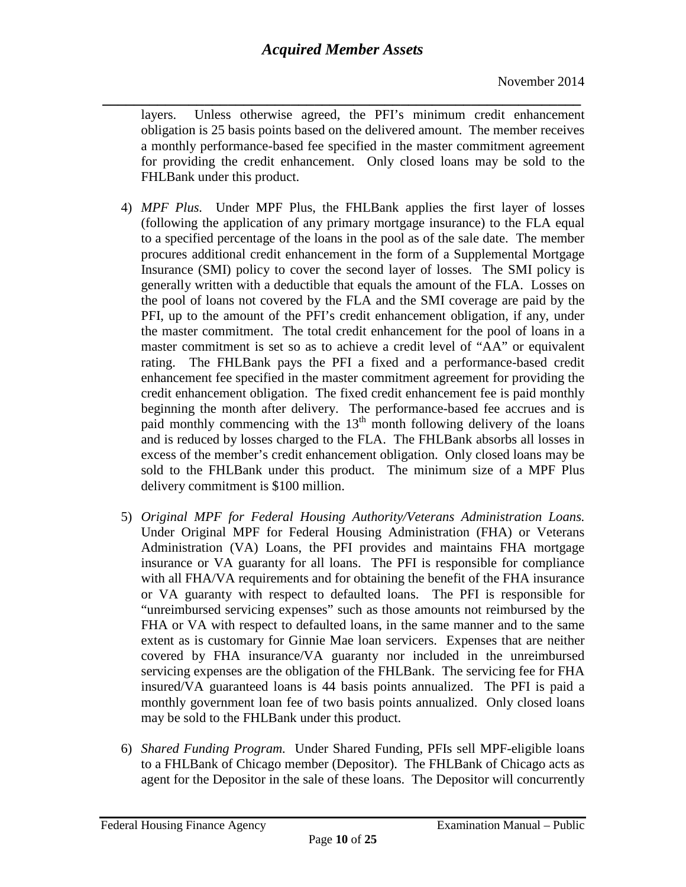*\_\_\_\_\_\_\_\_\_\_\_\_\_\_\_\_\_\_\_\_\_\_\_\_\_\_\_\_\_\_\_\_\_\_\_\_\_\_\_\_\_\_\_\_\_\_\_\_\_\_\_\_\_\_\_\_\_\_\_\_\_* layers. Unless otherwise agreed, the PFI's minimum credit enhancement obligation is 25 basis points based on the delivered amount. The member receives a monthly performance-based fee specified in the master commitment agreement for providing the credit enhancement. Only closed loans may be sold to the FHLBank under this product.

- 4) *MPF Plus.* Under MPF Plus, the FHLBank applies the first layer of losses (following the application of any primary mortgage insurance) to the FLA equal to a specified percentage of the loans in the pool as of the sale date. The member procures additional credit enhancement in the form of a Supplemental Mortgage Insurance (SMI) policy to cover the second layer of losses. The SMI policy is generally written with a deductible that equals the amount of the FLA. Losses on the pool of loans not covered by the FLA and the SMI coverage are paid by the PFI, up to the amount of the PFI's credit enhancement obligation, if any, under the master commitment. The total credit enhancement for the pool of loans in a master commitment is set so as to achieve a credit level of "AA" or equivalent rating. The FHLBank pays the PFI a fixed and a performance-based credit enhancement fee specified in the master commitment agreement for providing the credit enhancement obligation. The fixed credit enhancement fee is paid monthly beginning the month after delivery. The performance-based fee accrues and is paid monthly commencing with the  $13<sup>th</sup>$  month following delivery of the loans and is reduced by losses charged to the FLA. The FHLBank absorbs all losses in excess of the member's credit enhancement obligation. Only closed loans may be sold to the FHLBank under this product. The minimum size of a MPF Plus delivery commitment is \$100 million.
- 5) *Original MPF for Federal Housing Authority/Veterans Administration Loans.*  Under Original MPF for Federal Housing Administration (FHA) or Veterans Administration (VA) Loans, the PFI provides and maintains FHA mortgage insurance or VA guaranty for all loans. The PFI is responsible for compliance with all FHA/VA requirements and for obtaining the benefit of the FHA insurance or VA guaranty with respect to defaulted loans. The PFI is responsible for "unreimbursed servicing expenses" such as those amounts not reimbursed by the FHA or VA with respect to defaulted loans, in the same manner and to the same extent as is customary for Ginnie Mae loan servicers. Expenses that are neither covered by FHA insurance/VA guaranty nor included in the unreimbursed servicing expenses are the obligation of the FHLBank. The servicing fee for FHA insured/VA guaranteed loans is 44 basis points annualized. The PFI is paid a monthly government loan fee of two basis points annualized. Only closed loans may be sold to the FHLBank under this product.
- 6) *Shared Funding Program.* Under Shared Funding, PFIs sell MPF-eligible loans to a FHLBank of Chicago member (Depositor). The FHLBank of Chicago acts as agent for the Depositor in the sale of these loans. The Depositor will concurrently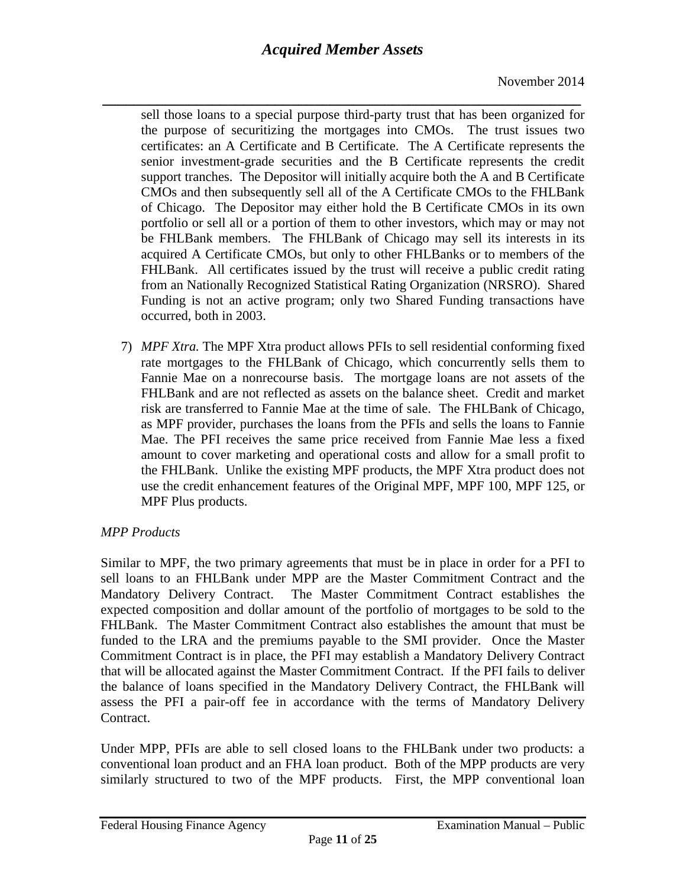*\_\_\_\_\_\_\_\_\_\_\_\_\_\_\_\_\_\_\_\_\_\_\_\_\_\_\_\_\_\_\_\_\_\_\_\_\_\_\_\_\_\_\_\_\_\_\_\_\_\_\_\_\_\_\_\_\_\_\_\_\_* sell those loans to a special purpose third-party trust that has been organized for the purpose of securitizing the mortgages into CMOs. The trust issues two certificates: an A Certificate and B Certificate. The A Certificate represents the senior investment-grade securities and the B Certificate represents the credit support tranches. The Depositor will initially acquire both the A and B Certificate CMOs and then subsequently sell all of the A Certificate CMOs to the FHLBank of Chicago. The Depositor may either hold the B Certificate CMOs in its own portfolio or sell all or a portion of them to other investors, which may or may not be FHLBank members. The FHLBank of Chicago may sell its interests in its acquired A Certificate CMOs, but only to other FHLBanks or to members of the FHLBank. All certificates issued by the trust will receive a public credit rating from an Nationally Recognized Statistical Rating Organization (NRSRO). Shared Funding is not an active program; only two Shared Funding transactions have occurred, both in 2003.

7) *MPF Xtra.* The MPF Xtra product allows PFIs to sell residential conforming fixed rate mortgages to the FHLBank of Chicago, which concurrently sells them to Fannie Mae on a nonrecourse basis. The mortgage loans are not assets of the FHLBank and are not reflected as assets on the balance sheet. Credit and market risk are transferred to Fannie Mae at the time of sale. The FHLBank of Chicago, as MPF provider, purchases the loans from the PFIs and sells the loans to Fannie Mae. The PFI receives the same price received from Fannie Mae less a fixed amount to cover marketing and operational costs and allow for a small profit to the FHLBank. Unlike the existing MPF products, the MPF Xtra product does not use the credit enhancement features of the Original MPF, MPF 100, MPF 125, or MPF Plus products.

#### *MPP Products*

Similar to MPF, the two primary agreements that must be in place in order for a PFI to sell loans to an FHLBank under MPP are the Master Commitment Contract and the Mandatory Delivery Contract. The Master Commitment Contract establishes the expected composition and dollar amount of the portfolio of mortgages to be sold to the FHLBank. The Master Commitment Contract also establishes the amount that must be funded to the LRA and the premiums payable to the SMI provider. Once the Master Commitment Contract is in place, the PFI may establish a Mandatory Delivery Contract that will be allocated against the Master Commitment Contract. If the PFI fails to deliver the balance of loans specified in the Mandatory Delivery Contract, the FHLBank will assess the PFI a pair-off fee in accordance with the terms of Mandatory Delivery Contract.

Under MPP, PFIs are able to sell closed loans to the FHLBank under two products: a conventional loan product and an FHA loan product. Both of the MPP products are very similarly structured to two of the MPF products. First, the MPP conventional loan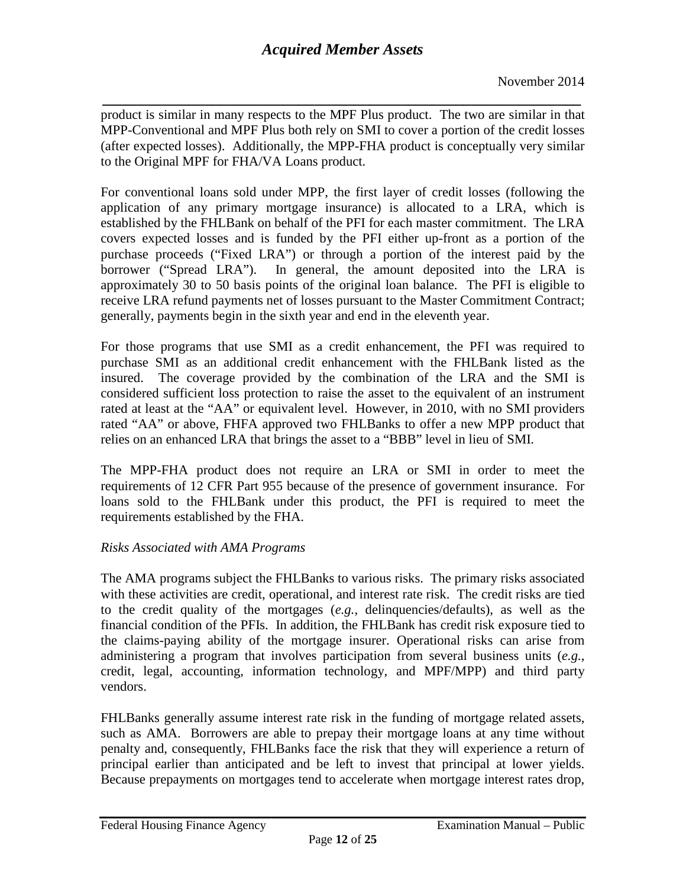*\_\_\_\_\_\_\_\_\_\_\_\_\_\_\_\_\_\_\_\_\_\_\_\_\_\_\_\_\_\_\_\_\_\_\_\_\_\_\_\_\_\_\_\_\_\_\_\_\_\_\_\_\_\_\_\_\_\_\_\_\_* product is similar in many respects to the MPF Plus product. The two are similar in that MPP-Conventional and MPF Plus both rely on SMI to cover a portion of the credit losses (after expected losses). Additionally, the MPP-FHA product is conceptually very similar to the Original MPF for FHA/VA Loans product.

For conventional loans sold under MPP, the first layer of credit losses (following the application of any primary mortgage insurance) is allocated to a LRA, which is established by the FHLBank on behalf of the PFI for each master commitment. The LRA covers expected losses and is funded by the PFI either up-front as a portion of the purchase proceeds ("Fixed LRA") or through a portion of the interest paid by the borrower ("Spread LRA"). In general, the amount deposited into the LRA is approximately 30 to 50 basis points of the original loan balance. The PFI is eligible to receive LRA refund payments net of losses pursuant to the Master Commitment Contract; generally, payments begin in the sixth year and end in the eleventh year.

For those programs that use SMI as a credit enhancement, the PFI was required to purchase SMI as an additional credit enhancement with the FHLBank listed as the insured. The coverage provided by the combination of the LRA and the SMI is considered sufficient loss protection to raise the asset to the equivalent of an instrument rated at least at the "AA" or equivalent level. However, in 2010, with no SMI providers rated "AA" or above, FHFA approved two FHLBanks to offer a new MPP product that relies on an enhanced LRA that brings the asset to a "BBB" level in lieu of SMI.

The MPP-FHA product does not require an LRA or SMI in order to meet the requirements of 12 CFR Part 955 because of the presence of government insurance. For loans sold to the FHLBank under this product, the PFI is required to meet the requirements established by the FHA.

### *Risks Associated with AMA Programs*

The AMA programs subject the FHLBanks to various risks. The primary risks associated with these activities are credit, operational, and interest rate risk. The credit risks are tied to the credit quality of the mortgages (*e.g.*, delinquencies/defaults), as well as the financial condition of the PFIs. In addition, the FHLBank has credit risk exposure tied to the claims-paying ability of the mortgage insurer. Operational risks can arise from administering a program that involves participation from several business units (*e.g.*, credit, legal, accounting, information technology, and MPF/MPP) and third party vendors.

FHLBanks generally assume interest rate risk in the funding of mortgage related assets, such as AMA. Borrowers are able to prepay their mortgage loans at any time without penalty and, consequently, FHLBanks face the risk that they will experience a return of principal earlier than anticipated and be left to invest that principal at lower yields. Because prepayments on mortgages tend to accelerate when mortgage interest rates drop,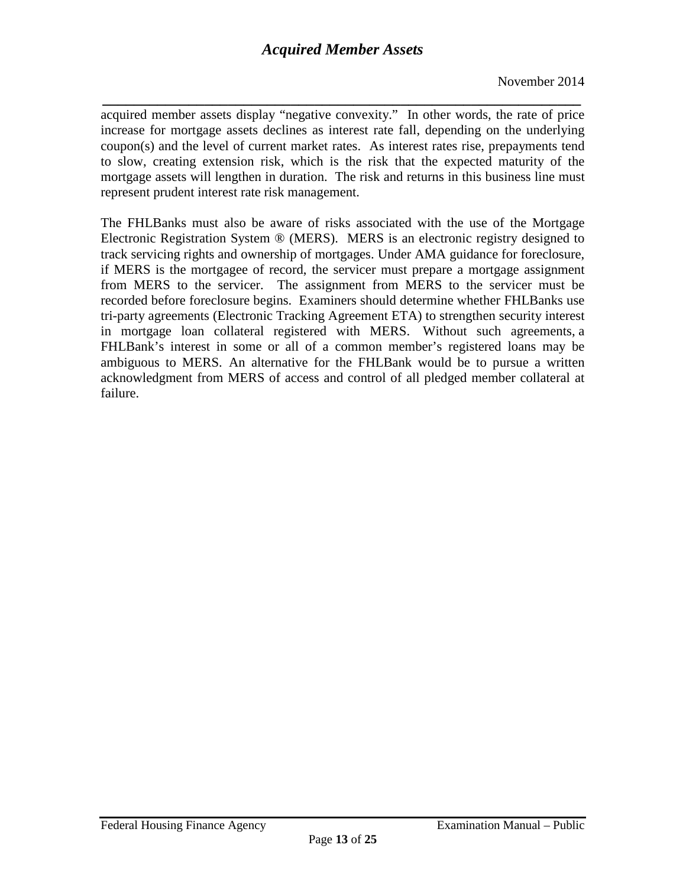*\_\_\_\_\_\_\_\_\_\_\_\_\_\_\_\_\_\_\_\_\_\_\_\_\_\_\_\_\_\_\_\_\_\_\_\_\_\_\_\_\_\_\_\_\_\_\_\_\_\_\_\_\_\_\_\_\_\_\_\_\_* acquired member assets display "negative convexity." In other words, the rate of price increase for mortgage assets declines as interest rate fall, depending on the underlying coupon(s) and the level of current market rates. As interest rates rise, prepayments tend to slow, creating extension risk, which is the risk that the expected maturity of the mortgage assets will lengthen in duration. The risk and returns in this business line must represent prudent interest rate risk management.

<span id="page-12-0"></span>The FHLBanks must also be aware of risks associated with the use of the Mortgage Electronic Registration System ® (MERS). MERS is an electronic registry designed to track servicing rights and ownership of mortgages. Under AMA guidance for foreclosure, if MERS is the mortgagee of record, the servicer must prepare a mortgage assignment from MERS to the servicer. The assignment from MERS to the servicer must be recorded before foreclosure begins. Examiners should determine whether FHLBanks use tri-party agreements (Electronic Tracking Agreement ETA) to strengthen security interest in mortgage loan collateral registered with MERS. Without such agreements, a FHLBank's interest in some or all of a common member's registered loans may be ambiguous to MERS. An alternative for the FHLBank would be to pursue a written acknowledgment from MERS of access and control of all pledged member collateral at failure.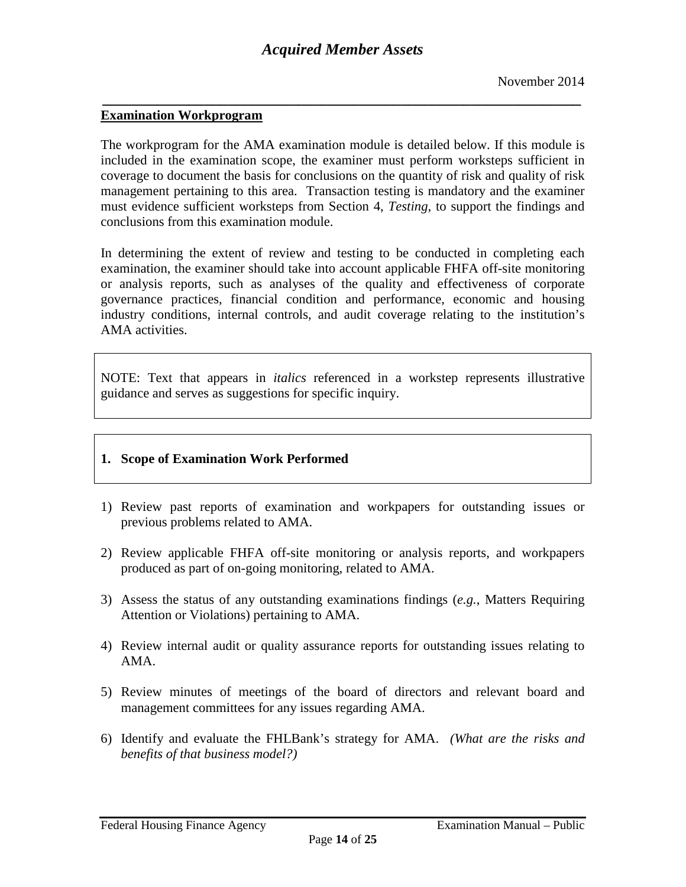*\_\_\_\_\_\_\_\_\_\_\_\_\_\_\_\_\_\_\_\_\_\_\_\_\_\_\_\_\_\_\_\_\_\_\_\_\_\_\_\_\_\_\_\_\_\_\_\_\_\_\_\_\_\_\_\_\_\_\_\_\_*

#### **Examination Workprogram**

The workprogram for the AMA examination module is detailed below. If this module is included in the examination scope, the examiner must perform worksteps sufficient in coverage to document the basis for conclusions on the quantity of risk and quality of risk management pertaining to this area. Transaction testing is mandatory and the examiner must evidence sufficient worksteps from Section 4, *Testing,* to support the findings and conclusions from this examination module.

In determining the extent of review and testing to be conducted in completing each examination, the examiner should take into account applicable FHFA off-site monitoring or analysis reports, such as analyses of the quality and effectiveness of corporate governance practices, financial condition and performance, economic and housing industry conditions, internal controls, and audit coverage relating to the institution's AMA activities.

NOTE: Text that appears in *italics* referenced in a workstep represents illustrative guidance and serves as suggestions for specific inquiry.

#### **1. Scope of Examination Work Performed**

- 1) Review past reports of examination and workpapers for outstanding issues or previous problems related to AMA.
- 2) Review applicable FHFA off-site monitoring or analysis reports, and workpapers produced as part of on-going monitoring, related to AMA.
- 3) Assess the status of any outstanding examinations findings (*e.g.*, Matters Requiring Attention or Violations) pertaining to AMA.
- 4) Review internal audit or quality assurance reports for outstanding issues relating to AMA.
- 5) Review minutes of meetings of the board of directors and relevant board and management committees for any issues regarding AMA.
- 6) Identify and evaluate the FHLBank's strategy for AMA. *(What are the risks and benefits of that business model?)*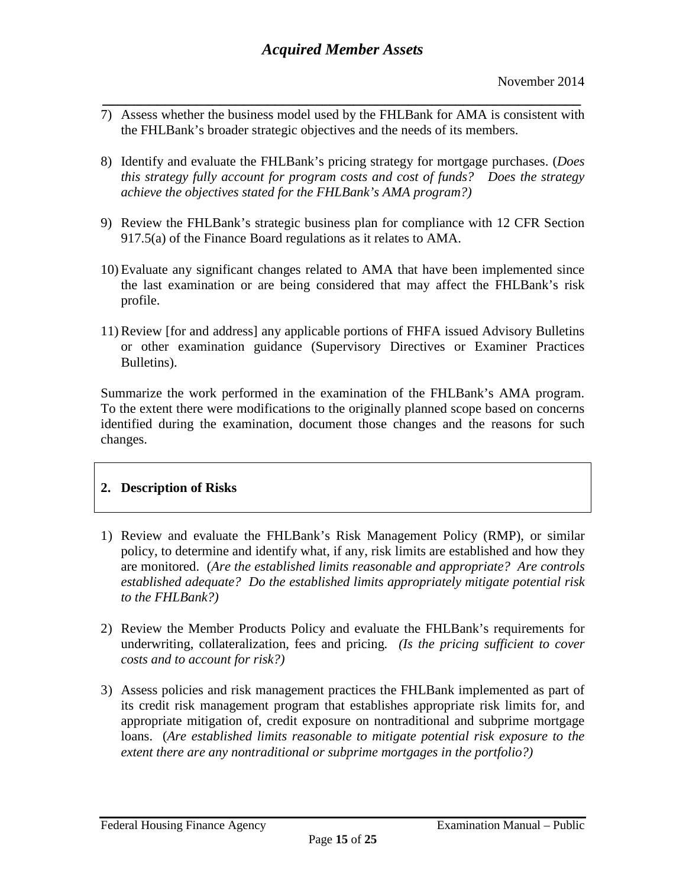- *\_\_\_\_\_\_\_\_\_\_\_\_\_\_\_\_\_\_\_\_\_\_\_\_\_\_\_\_\_\_\_\_\_\_\_\_\_\_\_\_\_\_\_\_\_\_\_\_\_\_\_\_\_\_\_\_\_\_\_\_\_* 7) Assess whether the business model used by the FHLBank for AMA is consistent with the FHLBank's broader strategic objectives and the needs of its members.
- 8) Identify and evaluate the FHLBank's pricing strategy for mortgage purchases. (*Does this strategy fully account for program costs and cost of funds? Does the strategy achieve the objectives stated for the FHLBank's AMA program?)*
- 9) Review the FHLBank's strategic business plan for compliance with 12 CFR Section 917.5(a) of the Finance Board regulations as it relates to AMA.
- 10) Evaluate any significant changes related to AMA that have been implemented since the last examination or are being considered that may affect the FHLBank's risk profile.
- 11) Review [for and address] any applicable portions of FHFA issued Advisory Bulletins or other examination guidance (Supervisory Directives or Examiner Practices Bulletins).

Summarize the work performed in the examination of the FHLBank's AMA program. To the extent there were modifications to the originally planned scope based on concerns identified during the examination, document those changes and the reasons for such changes.

### **2. Description of Risks**

- 1) Review and evaluate the FHLBank's Risk Management Policy (RMP), or similar policy, to determine and identify what, if any, risk limits are established and how they are monitored. (*Are the established limits reasonable and appropriate? Are controls established adequate? Do the established limits appropriately mitigate potential risk to the FHLBank?)*
- 2) Review the Member Products Policy and evaluate the FHLBank's requirements for underwriting, collateralization, fees and pricing*. (Is the pricing sufficient to cover costs and to account for risk?)*
- 3) Assess policies and risk management practices the FHLBank implemented as part of its credit risk management program that establishes appropriate risk limits for, and appropriate mitigation of, credit exposure on nontraditional and subprime mortgage loans. (*Are established limits reasonable to mitigate potential risk exposure to the extent there are any nontraditional or subprime mortgages in the portfolio?)*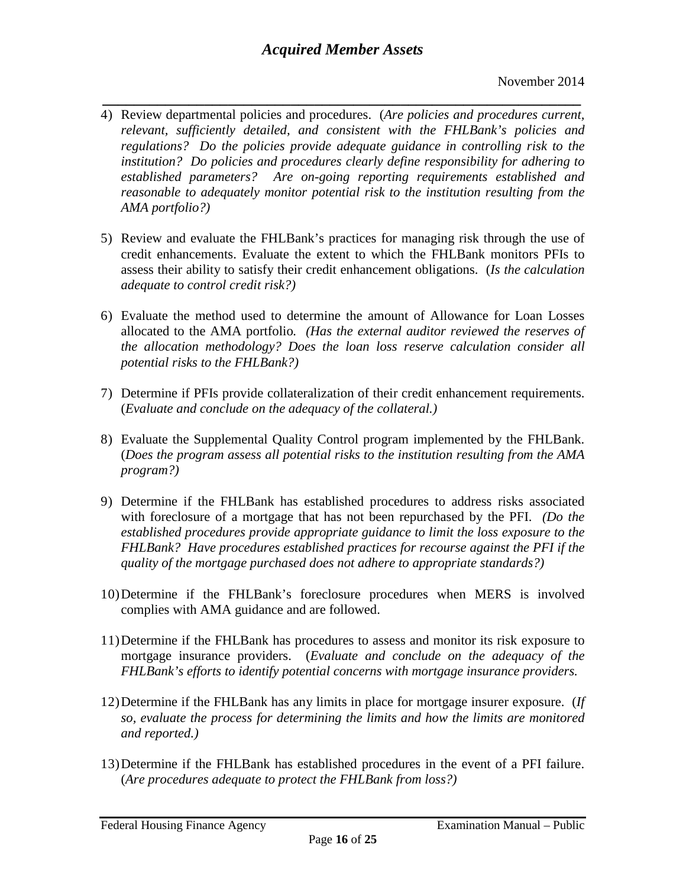- *\_\_\_\_\_\_\_\_\_\_\_\_\_\_\_\_\_\_\_\_\_\_\_\_\_\_\_\_\_\_\_\_\_\_\_\_\_\_\_\_\_\_\_\_\_\_\_\_\_\_\_\_\_\_\_\_\_\_\_\_\_* 4) Review departmental policies and procedures. (*Are policies and procedures current, relevant, sufficiently detailed, and consistent with the FHLBank's policies and regulations? Do the policies provide adequate guidance in controlling risk to the institution? Do policies and procedures clearly define responsibility for adhering to established parameters? Are on-going reporting requirements established and reasonable to adequately monitor potential risk to the institution resulting from the AMA portfolio?)*
- 5) Review and evaluate the FHLBank's practices for managing risk through the use of credit enhancements. Evaluate the extent to which the FHLBank monitors PFIs to assess their ability to satisfy their credit enhancement obligations. (*Is the calculation adequate to control credit risk?)*
- 6) Evaluate the method used to determine the amount of Allowance for Loan Losses allocated to the AMA portfolio*. (Has the external auditor reviewed the reserves of the allocation methodology? Does the loan loss reserve calculation consider all potential risks to the FHLBank?)*
- 7) Determine if PFIs provide collateralization of their credit enhancement requirements. (*Evaluate and conclude on the adequacy of the collateral.)*
- 8) Evaluate the Supplemental Quality Control program implemented by the FHLBank. (*Does the program assess all potential risks to the institution resulting from the AMA program?)*
- 9) Determine if the FHLBank has established procedures to address risks associated with foreclosure of a mortgage that has not been repurchased by the PFI. *(Do the established procedures provide appropriate guidance to limit the loss exposure to the FHLBank? Have procedures established practices for recourse against the PFI if the quality of the mortgage purchased does not adhere to appropriate standards?)*
- 10)Determine if the FHLBank's foreclosure procedures when MERS is involved complies with AMA guidance and are followed.
- 11)Determine if the FHLBank has procedures to assess and monitor its risk exposure to mortgage insurance providers. (*Evaluate and conclude on the adequacy of the FHLBank's efforts to identify potential concerns with mortgage insurance providers.*
- 12)Determine if the FHLBank has any limits in place for mortgage insurer exposure. (*If so, evaluate the process for determining the limits and how the limits are monitored and reported.)*
- 13)Determine if the FHLBank has established procedures in the event of a PFI failure. (*Are procedures adequate to protect the FHLBank from loss?)*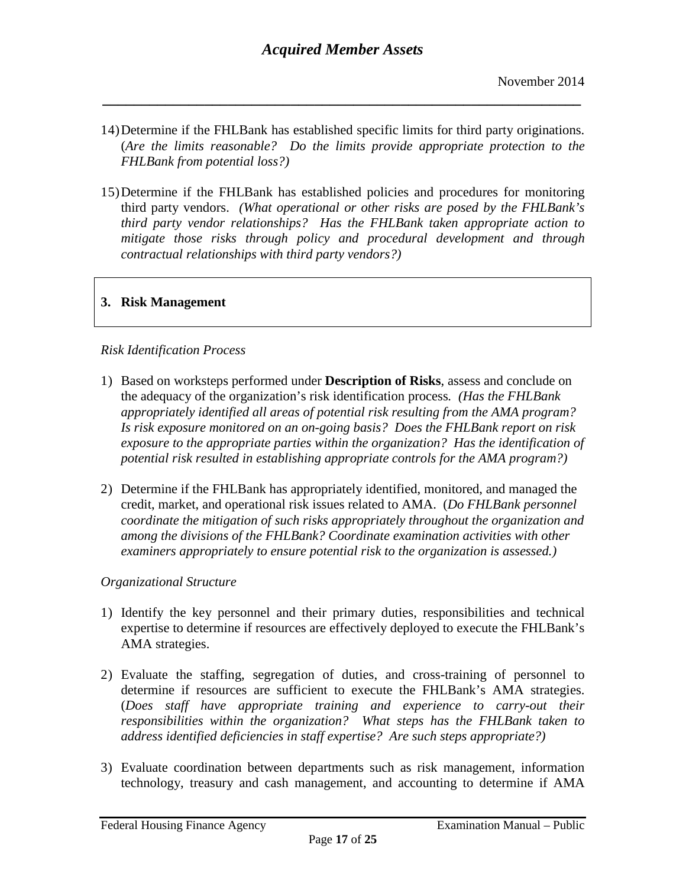14)Determine if the FHLBank has established specific limits for third party originations. (*Are the limits reasonable? Do the limits provide appropriate protection to the FHLBank from potential loss?)* 

*\_\_\_\_\_\_\_\_\_\_\_\_\_\_\_\_\_\_\_\_\_\_\_\_\_\_\_\_\_\_\_\_\_\_\_\_\_\_\_\_\_\_\_\_\_\_\_\_\_\_\_\_\_\_\_\_\_\_\_\_\_*

15)Determine if the FHLBank has established policies and procedures for monitoring third party vendors. *(What operational or other risks are posed by the FHLBank's third party vendor relationships? Has the FHLBank taken appropriate action to mitigate those risks through policy and procedural development and through contractual relationships with third party vendors?)*

#### **3. Risk Management**

#### *Risk Identification Process*

- 1) Based on worksteps performed under **Description of Risks**, assess and conclude on the adequacy of the organization's risk identification process*. (Has the FHLBank appropriately identified all areas of potential risk resulting from the AMA program? Is risk exposure monitored on an on-going basis? Does the FHLBank report on risk exposure to the appropriate parties within the organization? Has the identification of potential risk resulted in establishing appropriate controls for the AMA program?)*
- 2) Determine if the FHLBank has appropriately identified, monitored, and managed the credit, market, and operational risk issues related to AMA. (*Do FHLBank personnel coordinate the mitigation of such risks appropriately throughout the organization and among the divisions of the FHLBank? Coordinate examination activities with other examiners appropriately to ensure potential risk to the organization is assessed.)*

#### *Organizational Structure*

- 1) Identify the key personnel and their primary duties, responsibilities and technical expertise to determine if resources are effectively deployed to execute the FHLBank's AMA strategies.
- 2) Evaluate the staffing, segregation of duties, and cross-training of personnel to determine if resources are sufficient to execute the FHLBank's AMA strategies. (*Does staff have appropriate training and experience to carry-out their responsibilities within the organization? What steps has the FHLBank taken to address identified deficiencies in staff expertise? Are such steps appropriate?)*
- 3) Evaluate coordination between departments such as risk management, information technology, treasury and cash management, and accounting to determine if AMA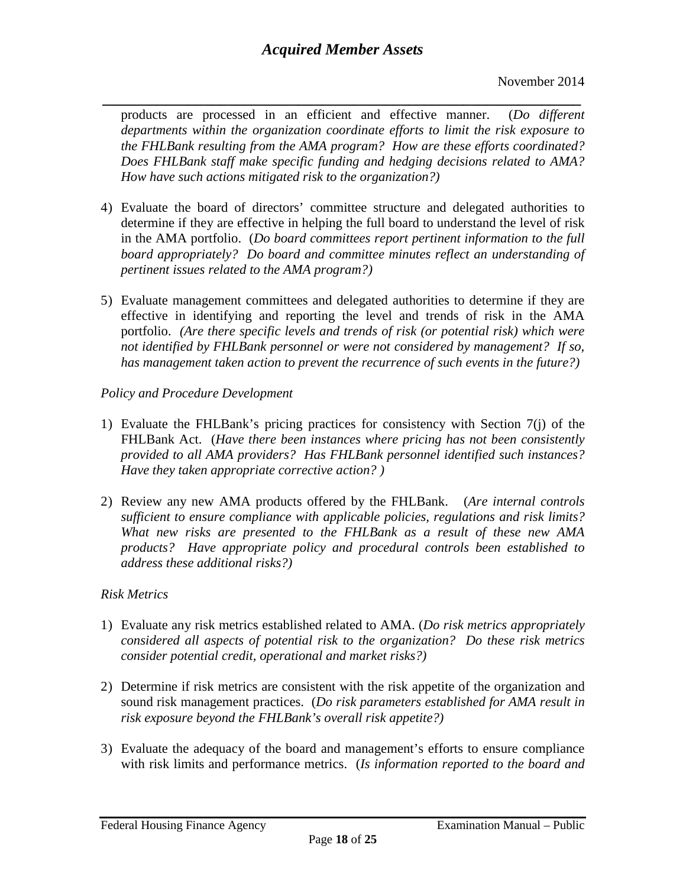*\_\_\_\_\_\_\_\_\_\_\_\_\_\_\_\_\_\_\_\_\_\_\_\_\_\_\_\_\_\_\_\_\_\_\_\_\_\_\_\_\_\_\_\_\_\_\_\_\_\_\_\_\_\_\_\_\_\_\_\_\_* products are processed in an efficient and effective manner. (*Do different departments within the organization coordinate efforts to limit the risk exposure to the FHLBank resulting from the AMA program? How are these efforts coordinated? Does FHLBank staff make specific funding and hedging decisions related to AMA? How have such actions mitigated risk to the organization?)* 

- 4) Evaluate the board of directors' committee structure and delegated authorities to determine if they are effective in helping the full board to understand the level of risk in the AMA portfolio. (*Do board committees report pertinent information to the full board appropriately? Do board and committee minutes reflect an understanding of pertinent issues related to the AMA program?)*
- 5) Evaluate management committees and delegated authorities to determine if they are effective in identifying and reporting the level and trends of risk in the AMA portfolio. *(Are there specific levels and trends of risk (or potential risk) which were not identified by FHLBank personnel or were not considered by management? If so, has management taken action to prevent the recurrence of such events in the future?)*

*Policy and Procedure Development*

- 1) Evaluate the FHLBank's pricing practices for consistency with Section 7(j) of the FHLBank Act. (*Have there been instances where pricing has not been consistently provided to all AMA providers? Has FHLBank personnel identified such instances? Have they taken appropriate corrective action? )*
- 2) Review any new AMA products offered by the FHLBank. (*Are internal controls sufficient to ensure compliance with applicable policies, regulations and risk limits? What new risks are presented to the FHLBank as a result of these new AMA products? Have appropriate policy and procedural controls been established to address these additional risks?)*

### *Risk Metrics*

- 1) Evaluate any risk metrics established related to AMA. (*Do risk metrics appropriately considered all aspects of potential risk to the organization? Do these risk metrics consider potential credit, operational and market risks?)*
- 2) Determine if risk metrics are consistent with the risk appetite of the organization and sound risk management practices. (*Do risk parameters established for AMA result in risk exposure beyond the FHLBank's overall risk appetite?)*
- 3) Evaluate the adequacy of the board and management's efforts to ensure compliance with risk limits and performance metrics. (*Is information reported to the board and*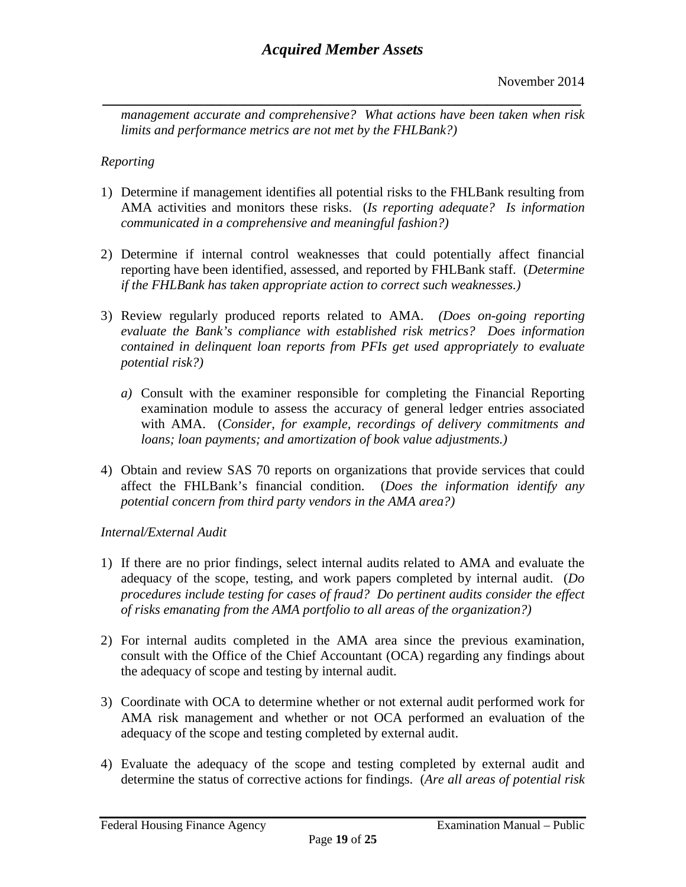*\_\_\_\_\_\_\_\_\_\_\_\_\_\_\_\_\_\_\_\_\_\_\_\_\_\_\_\_\_\_\_\_\_\_\_\_\_\_\_\_\_\_\_\_\_\_\_\_\_\_\_\_\_\_\_\_\_\_\_\_\_ management accurate and comprehensive? What actions have been taken when risk limits and performance metrics are not met by the FHLBank?)*

#### *Reporting*

- 1) Determine if management identifies all potential risks to the FHLBank resulting from AMA activities and monitors these risks. (*Is reporting adequate? Is information communicated in a comprehensive and meaningful fashion?)*
- 2) Determine if internal control weaknesses that could potentially affect financial reporting have been identified, assessed, and reported by FHLBank staff. (*Determine if the FHLBank has taken appropriate action to correct such weaknesses.)*
- 3) Review regularly produced reports related to AMA. *(Does on-going reporting evaluate the Bank's compliance with established risk metrics? Does information contained in delinquent loan reports from PFIs get used appropriately to evaluate potential risk?)*
	- *a)* Consult with the examiner responsible for completing the Financial Reporting examination module to assess the accuracy of general ledger entries associated with AMA. (*Consider, for example, recordings of delivery commitments and loans; loan payments; and amortization of book value adjustments.)*
- 4) Obtain and review SAS 70 reports on organizations that provide services that could affect the FHLBank's financial condition. (*Does the information identify any potential concern from third party vendors in the AMA area?)*

#### *Internal/External Audit*

- 1) If there are no prior findings, select internal audits related to AMA and evaluate the adequacy of the scope, testing, and work papers completed by internal audit. (*Do procedures include testing for cases of fraud? Do pertinent audits consider the effect of risks emanating from the AMA portfolio to all areas of the organization?)*
- 2) For internal audits completed in the AMA area since the previous examination, consult with the Office of the Chief Accountant (OCA) regarding any findings about the adequacy of scope and testing by internal audit.
- 3) Coordinate with OCA to determine whether or not external audit performed work for AMA risk management and whether or not OCA performed an evaluation of the adequacy of the scope and testing completed by external audit.
- 4) Evaluate the adequacy of the scope and testing completed by external audit and determine the status of corrective actions for findings. (*Are all areas of potential risk*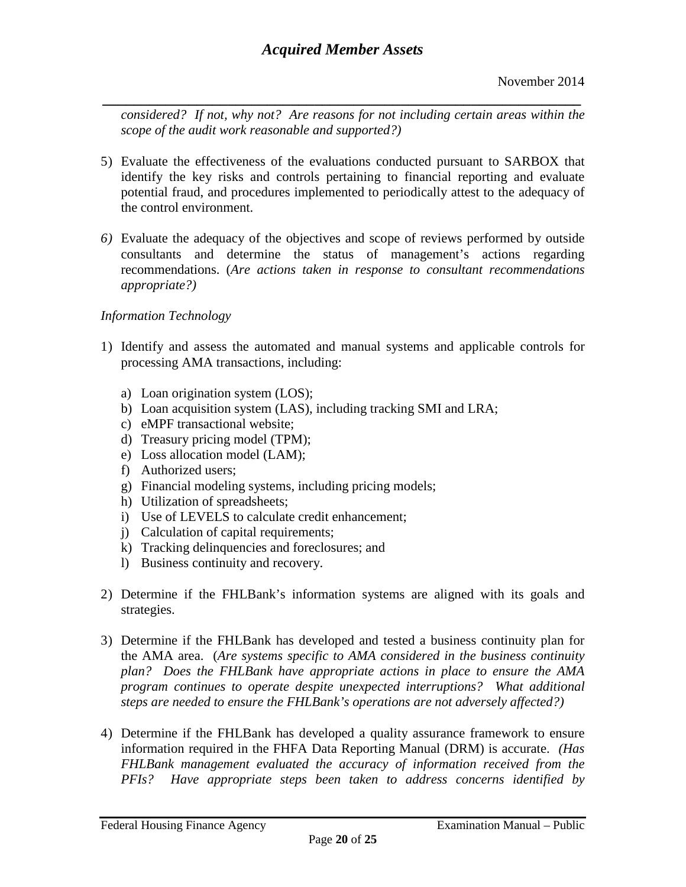*\_\_\_\_\_\_\_\_\_\_\_\_\_\_\_\_\_\_\_\_\_\_\_\_\_\_\_\_\_\_\_\_\_\_\_\_\_\_\_\_\_\_\_\_\_\_\_\_\_\_\_\_\_\_\_\_\_\_\_\_\_ considered? If not, why not? Are reasons for not including certain areas within the scope of the audit work reasonable and supported?)*

- 5) Evaluate the effectiveness of the evaluations conducted pursuant to SARBOX that identify the key risks and controls pertaining to financial reporting and evaluate potential fraud, and procedures implemented to periodically attest to the adequacy of the control environment.
- *6)* Evaluate the adequacy of the objectives and scope of reviews performed by outside consultants and determine the status of management's actions regarding recommendations. (*Are actions taken in response to consultant recommendations appropriate?)*

### *Information Technology*

- 1) Identify and assess the automated and manual systems and applicable controls for processing AMA transactions, including:
	- a) Loan origination system (LOS);
	- b) Loan acquisition system (LAS), including tracking SMI and LRA;
	- c) eMPF transactional website;
	- d) Treasury pricing model (TPM);
	- e) Loss allocation model (LAM);
	- f) Authorized users;
	- g) Financial modeling systems, including pricing models;
	- h) Utilization of spreadsheets;
	- i) Use of LEVELS to calculate credit enhancement;
	- j) Calculation of capital requirements;
	- k) Tracking delinquencies and foreclosures; and
	- l) Business continuity and recovery.
- 2) Determine if the FHLBank's information systems are aligned with its goals and strategies.
- 3) Determine if the FHLBank has developed and tested a business continuity plan for the AMA area. (*Are systems specific to AMA considered in the business continuity plan? Does the FHLBank have appropriate actions in place to ensure the AMA program continues to operate despite unexpected interruptions? What additional steps are needed to ensure the FHLBank's operations are not adversely affected?)*
- 4) Determine if the FHLBank has developed a quality assurance framework to ensure information required in the FHFA Data Reporting Manual (DRM) is accurate. *(Has FHLBank management evaluated the accuracy of information received from the PFIs? Have appropriate steps been taken to address concerns identified by*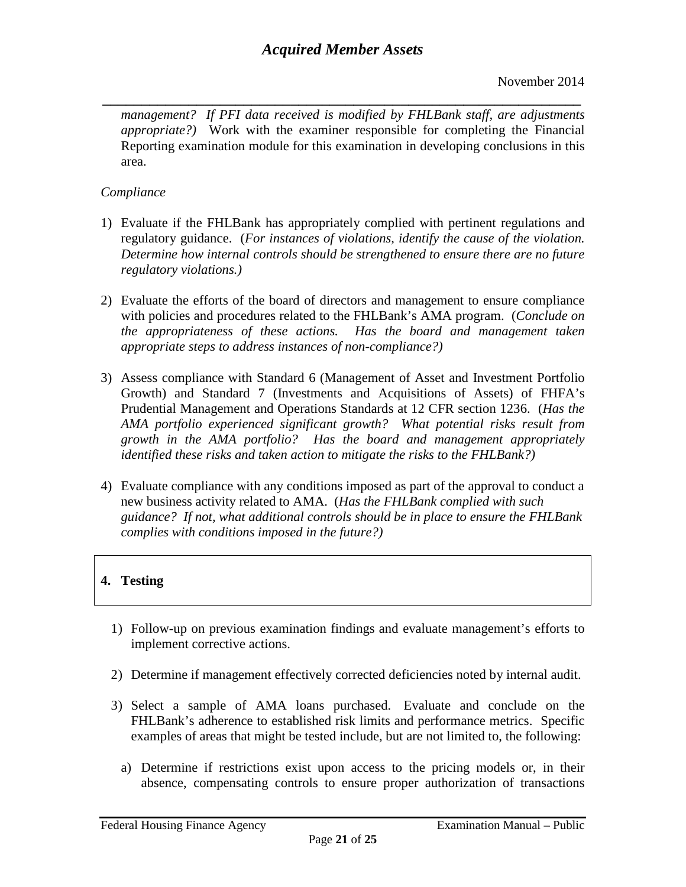*\_\_\_\_\_\_\_\_\_\_\_\_\_\_\_\_\_\_\_\_\_\_\_\_\_\_\_\_\_\_\_\_\_\_\_\_\_\_\_\_\_\_\_\_\_\_\_\_\_\_\_\_\_\_\_\_\_\_\_\_\_ management? If PFI data received is modified by FHLBank staff, are adjustments appropriate?)* Work with the examiner responsible for completing the Financial Reporting examination module for this examination in developing conclusions in this area.

### *Compliance*

- 1) Evaluate if the FHLBank has appropriately complied with pertinent regulations and regulatory guidance. (*For instances of violations, identify the cause of the violation. Determine how internal controls should be strengthened to ensure there are no future regulatory violations.)*
- 2) Evaluate the efforts of the board of directors and management to ensure compliance with policies and procedures related to the FHLBank's AMA program. (*Conclude on the appropriateness of these actions. Has the board and management taken appropriate steps to address instances of non-compliance?)*
- 3) Assess compliance with Standard 6 (Management of Asset and Investment Portfolio Growth) and Standard 7 (Investments and Acquisitions of Assets) of FHFA's Prudential Management and Operations Standards at 12 CFR section 1236. (*Has the AMA portfolio experienced significant growth? What potential risks result from growth in the AMA portfolio? Has the board and management appropriately identified these risks and taken action to mitigate the risks to the FHLBank?)*
- 4) Evaluate compliance with any conditions imposed as part of the approval to conduct a new business activity related to AMA. (*Has the FHLBank complied with such guidance? If not, what additional controls should be in place to ensure the FHLBank complies with conditions imposed in the future?)*

# **4. Testing**

- 1) Follow-up on previous examination findings and evaluate management's efforts to implement corrective actions.
- 2) Determine if management effectively corrected deficiencies noted by internal audit.
- 3) Select a sample of AMA loans purchased. Evaluate and conclude on the FHLBank's adherence to established risk limits and performance metrics. Specific examples of areas that might be tested include, but are not limited to, the following:
	- a) Determine if restrictions exist upon access to the pricing models or, in their absence, compensating controls to ensure proper authorization of transactions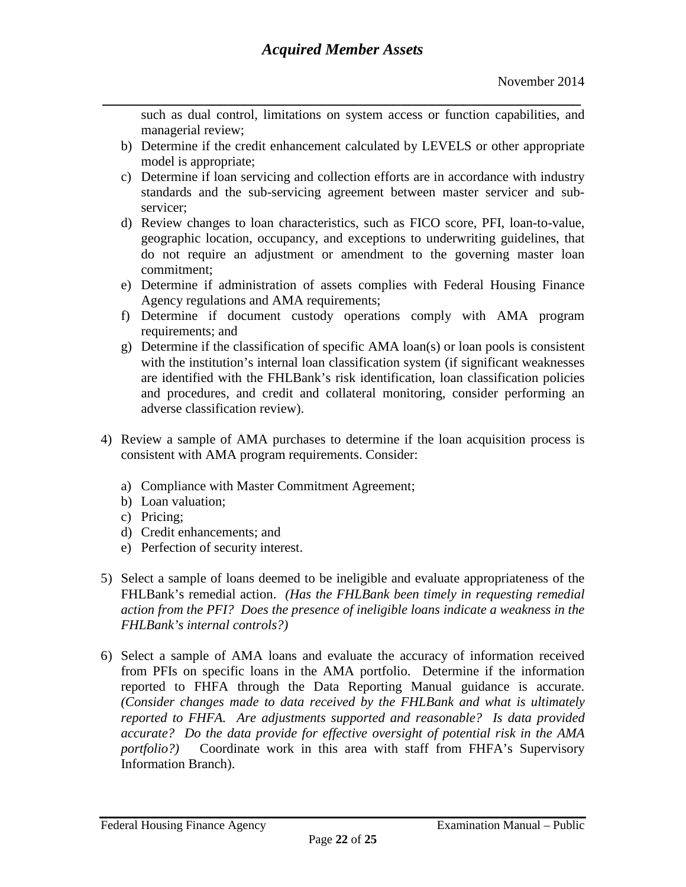*\_\_\_\_\_\_\_\_\_\_\_\_\_\_\_\_\_\_\_\_\_\_\_\_\_\_\_\_\_\_\_\_\_\_\_\_\_\_\_\_\_\_\_\_\_\_\_\_\_\_\_\_\_\_\_\_\_\_\_\_\_* such as dual control, limitations on system access or function capabilities, and managerial review;

- b) Determine if the credit enhancement calculated by LEVELS or other appropriate model is appropriate;
- c) Determine if loan servicing and collection efforts are in accordance with industry standards and the sub-servicing agreement between master servicer and subservicer;
- d) Review changes to loan characteristics, such as FICO score, PFI, loan-to-value, geographic location, occupancy, and exceptions to underwriting guidelines, that do not require an adjustment or amendment to the governing master loan commitment;
- e) Determine if administration of assets complies with Federal Housing Finance Agency regulations and AMA requirements;
- f) Determine if document custody operations comply with AMA program requirements; and
- g) Determine if the classification of specific AMA loan(s) or loan pools is consistent with the institution's internal loan classification system (if significant weaknesses are identified with the FHLBank's risk identification, loan classification policies and procedures, and credit and collateral monitoring, consider performing an adverse classification review).
- 4) Review a sample of AMA purchases to determine if the loan acquisition process is consistent with AMA program requirements. Consider:
	- a) Compliance with Master Commitment Agreement;
	- b) Loan valuation;
	- c) Pricing;
	- d) Credit enhancements; and
	- e) Perfection of security interest.
- 5) Select a sample of loans deemed to be ineligible and evaluate appropriateness of the FHLBank's remedial action. *(Has the FHLBank been timely in requesting remedial action from the PFI? Does the presence of ineligible loans indicate a weakness in the FHLBank's internal controls?)*
- 6) Select a sample of AMA loans and evaluate the accuracy of information received from PFIs on specific loans in the AMA portfolio. Determine if the information reported to FHFA through the Data Reporting Manual guidance is accurate. *(Consider changes made to data received by the FHLBank and what is ultimately reported to FHFA. Are adjustments supported and reasonable? Is data provided accurate? Do the data provide for effective oversight of potential risk in the AMA portfolio?)* Coordinate work in this area with staff from FHFA's Supervisory Information Branch).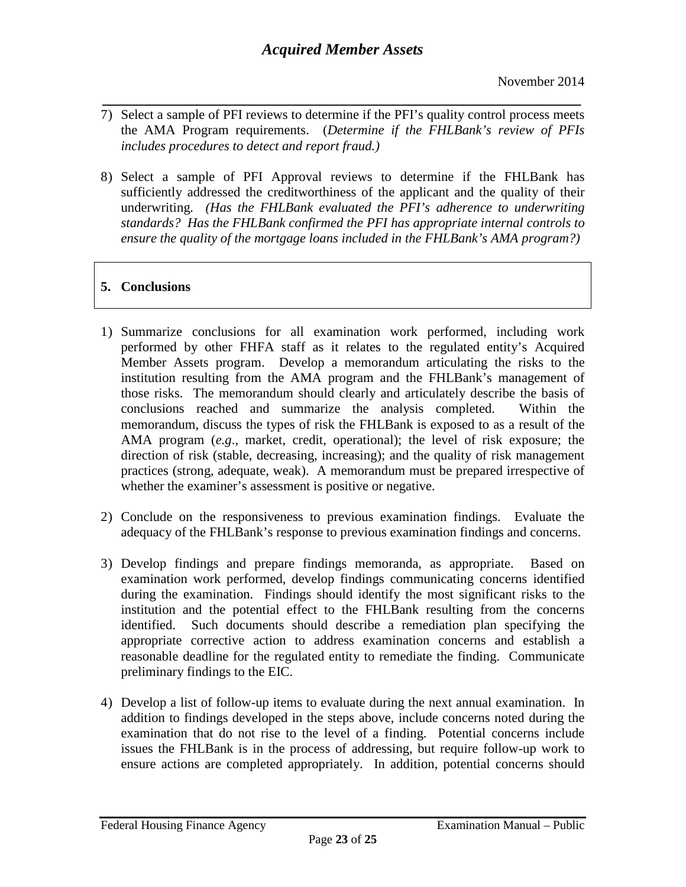November 2014

- *\_\_\_\_\_\_\_\_\_\_\_\_\_\_\_\_\_\_\_\_\_\_\_\_\_\_\_\_\_\_\_\_\_\_\_\_\_\_\_\_\_\_\_\_\_\_\_\_\_\_\_\_\_\_\_\_\_\_\_\_\_* 7) Select a sample of PFI reviews to determine if the PFI's quality control process meets the AMA Program requirements. (*Determine if the FHLBank's review of PFIs includes procedures to detect and report fraud.)*
- 8) Select a sample of PFI Approval reviews to determine if the FHLBank has sufficiently addressed the creditworthiness of the applicant and the quality of their underwriting*. (Has the FHLBank evaluated the PFI's adherence to underwriting standards? Has the FHLBank confirmed the PFI has appropriate internal controls to ensure the quality of the mortgage loans included in the FHLBank's AMA program?)*

# **5. Conclusions**

- 1) Summarize conclusions for all examination work performed, including work performed by other FHFA staff as it relates to the regulated entity's Acquired Member Assets program. Develop a memorandum articulating the risks to the institution resulting from the AMA program and the FHLBank's management of those risks. The memorandum should clearly and articulately describe the basis of conclusions reached and summarize the analysis completed. Within the memorandum, discuss the types of risk the FHLBank is exposed to as a result of the AMA program (*e.g*., market, credit, operational); the level of risk exposure; the direction of risk (stable, decreasing, increasing); and the quality of risk management practices (strong, adequate, weak). A memorandum must be prepared irrespective of whether the examiner's assessment is positive or negative.
- 2) Conclude on the responsiveness to previous examination findings. Evaluate the adequacy of the FHLBank's response to previous examination findings and concerns.
- 3) Develop findings and prepare findings memoranda, as appropriate. Based on examination work performed, develop findings communicating concerns identified during the examination. Findings should identify the most significant risks to the institution and the potential effect to the FHLBank resulting from the concerns identified. Such documents should describe a remediation plan specifying the appropriate corrective action to address examination concerns and establish a reasonable deadline for the regulated entity to remediate the finding. Communicate preliminary findings to the EIC.
- 4) Develop a list of follow-up items to evaluate during the next annual examination. In addition to findings developed in the steps above, include concerns noted during the examination that do not rise to the level of a finding. Potential concerns include issues the FHLBank is in the process of addressing, but require follow-up work to ensure actions are completed appropriately. In addition, potential concerns should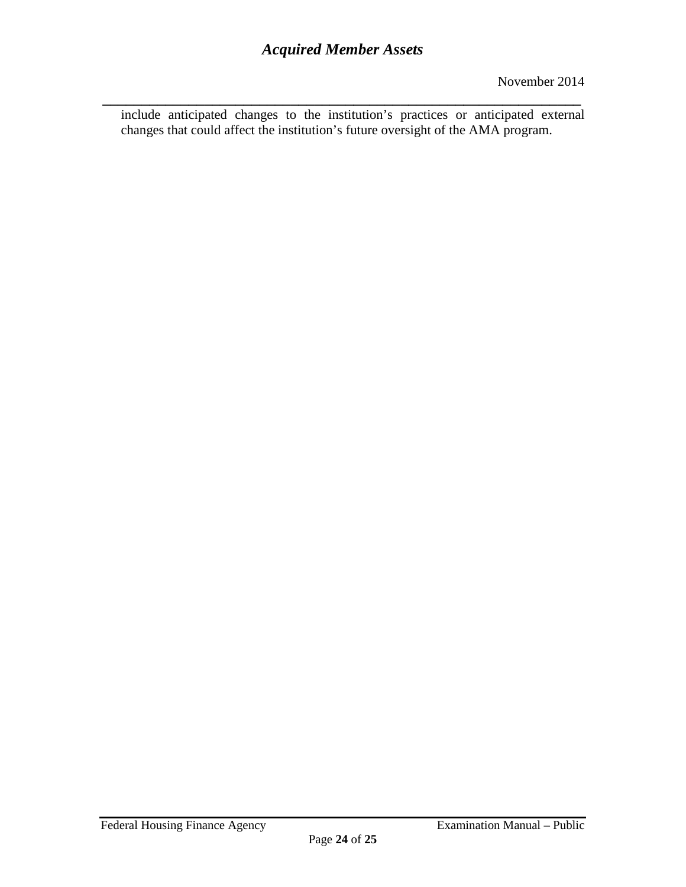*\_\_\_\_\_\_\_\_\_\_\_\_\_\_\_\_\_\_\_\_\_\_\_\_\_\_\_\_\_\_\_\_\_\_\_\_\_\_\_\_\_\_\_\_\_\_\_\_\_\_\_\_\_\_\_\_\_\_\_\_\_* include anticipated changes to the institution's practices or anticipated external changes that could affect the institution's future oversight of the AMA program.